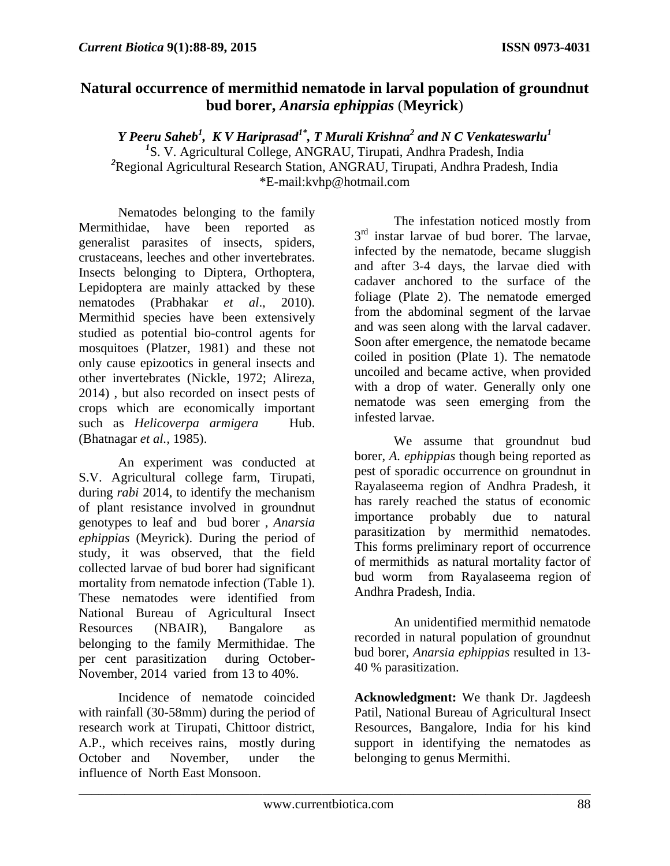## **Natural occurrence of mermithid nematode in larval population of groundnut bud borer,** *Anarsia ephippias* (**Meyrick**)

 $Y$  Peeru Saheb<sup>1</sup>, K V Hariprasad<sup>1\*</sup>, T Murali Krishna<sup>2</sup> and N C Venkateswarlu<sup>1</sup> *1* S. V. Agricultural College, ANGRAU, Tirupati, Andhra Pradesh, India *2* Regional Agricultural Research Station, ANGRAU, Tirupati, Andhra Pradesh, India \*E-mail:kvhp@hotmail.com

Nematodes belonging to the family Mermithidae, have been reported as generalist parasites of insects, spiders, crustaceans, leeches and other invertebrates. Insects belonging to Diptera, Orthoptera, Lepidoptera are mainly attacked by these nematodes (Prabhakar *et al*., 2010). Mermithid species have been extensively studied as potential bio-control agents for mosquitoes (Platzer, 1981) and these not only cause epizootics in general insects and other invertebrates (Nickle, 1972; Alireza, 2014) , but also recorded on insect pests of crops which are economically important such as *Helicoverpa armigera* Hub. (Bhatnagar *et al.,* 1985).

An experiment was conducted at S.V. Agricultural college farm, Tirupati, during *rabi* 2014, to identify the mechanism of plant resistance involved in groundnut genotypes to leaf and bud borer , *Anarsia ephippias* (Meyrick). During the period of study, it was observed, that the field collected larvae of bud borer had significant mortality from nematode infection (Table 1). These nematodes were identified from National Bureau of Agricultural Insect Resources (NBAIR), Bangalore as belonging to the family Mermithidae. The per cent parasitization during October-November, 2014 varied from 13 to 40%.

Incidence of nematode coincided with rainfall (30-58mm) during the period of research work at Tirupati, Chittoor district, A.P., which receives rains, mostly during October and November, under the influence of North East Monsoon.

The infestation noticed mostly from 3<sup>rd</sup> instar larvae of bud borer. The larvae, infected by the nematode, became sluggish and after 3-4 days, the larvae died with cadaver anchored to the surface of the foliage (Plate 2). The nematode emerged from the abdominal segment of the larvae and was seen along with the larval cadaver. Soon after emergence, the nematode became coiled in position (Plate 1). The nematode uncoiled and became active, when provided with a drop of water. Generally only one nematode was seen emerging from the infested larvae.

We assume that groundnut bud borer, *A. ephippias* though being reported as pest of sporadic occurrence on groundnut in Rayalaseema region of Andhra Pradesh, it has rarely reached the status of economic importance probably due to natural parasitization by mermithid nematodes. This forms preliminary report of occurrence of mermithids as natural mortality factor of bud worm from Rayalaseema region of Andhra Pradesh, India.

An unidentified mermithid nematode recorded in natural population of groundnut bud borer, *Anarsia ephippias* resulted in 13- 40 % parasitization.

**Acknowledgment:** We thank Dr. Jagdeesh Patil, National Bureau of Agricultural Insect Resources, Bangalore, India for his kind support in identifying the nematodes as belonging to genus Mermithi.